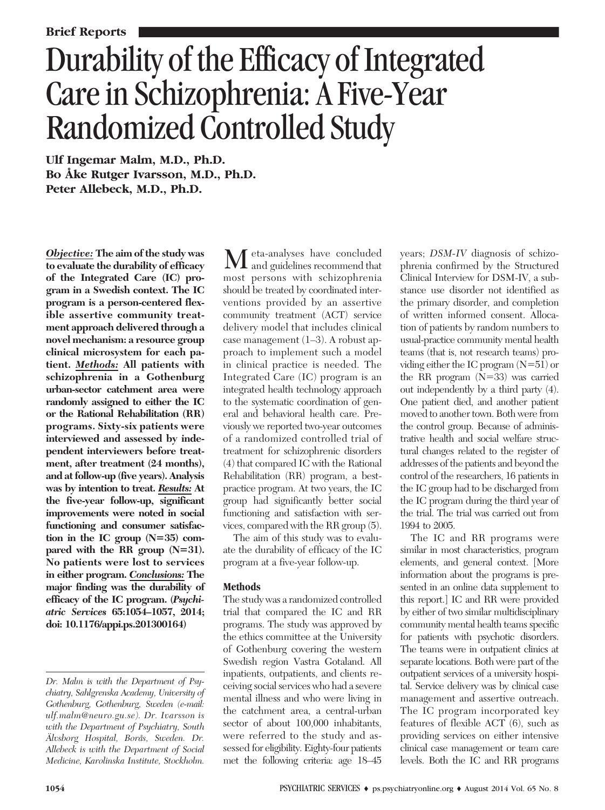# Durability of the Efficacy of Integrated Care in Schizophrenia: A Five-Year Randomized Controlled Study

Ulf Ingemar Malm, M.D., Ph.D. **Botter Alleheck M.D., Ph.D., Peter Alleheck M.D., Ph.D.** Peter Allebeck, M.D., Ph.D.

Objective: The aim of the study was to evaluate the durability of efficacy of the Integrated Care (IC) program in a Swedish context. The IC program is a person-centered flexible assertive community treatment approach delivered through a novel mechanism: a resource group clinical microsystem for each patient. Methods: All patients with schizophrenia in a Gothenburg urban-sector catchment area were randomly assigned to either the IC or the Rational Rehabilitation (RR) programs. Sixty-six patients were interviewed and assessed by independent interviewers before treatment, after treatment (24 months), and at follow-up (five years). Analysis was by intention to treat. Results: At the five-year follow-up, significant improvements were noted in social functioning and consumer satisfaction in the IC group  $(N=35)$  compared with the RR group  $(N=31)$ . No patients were lost to services in either program. Conclusions: The major finding was the durability of efficacy of the IC program. (Psychiatric Services 65:1054–1057, 2014; doi: 10.1176/appi.ps.201300164)

Meta-analyses have concluded<br>and guidelines recommend that most persons with schizophrenia should be treated by coordinated interventions provided by an assertive community treatment (ACT) service delivery model that includes clinical case management (1–3). A robust approach to implement such a model in clinical practice is needed. The Integrated Care (IC) program is an integrated health technology approach to the systematic coordination of general and behavioral health care. Previously we reported two-year outcomes of a randomized controlled trial of treatment for schizophrenic disorders (4) that compared IC with the Rational Rehabilitation (RR) program, a bestpractice program. At two years, the IC group had significantly better social functioning and satisfaction with services, compared with the RR group (5).

The aim of this study was to evaluate the durability of efficacy of the IC program at a five-year follow-up.

## **Methods**

The study was a randomized controlled trial that compared the IC and RR programs. The study was approved by the ethics committee at the University of Gothenburg covering the western Swedish region Vastra Gotaland. All inpatients, outpatients, and clients receiving social services who had a severe mental illness and who were living in the catchment area, a central-urban sector of about 100,000 inhabitants, were referred to the study and assessed for eligibility. Eighty-four patients met the following criteria: age 18–45 years; DSM-IV diagnosis of schizophrenia confirmed by the Structured Clinical Interview for DSM-IV, a substance use disorder not identified as the primary disorder, and completion of written informed consent. Allocation of patients by random numbers to usual-practice community mental health teams (that is, not research teams) providing either the IC program  $(N=51)$  or the RR program  $(N=33)$  was carried out independently by a third party (4). One patient died, and another patient moved to another town. Both were from the control group. Because of administrative health and social welfare structural changes related to the register of addresses of the patients and beyond the control of the researchers, 16 patients in the IC group had to be discharged from the IC program during the third year of the trial. The trial was carried out from 1994 to 2005.

The IC and RR programs were similar in most characteristics, program elements, and general context. [More information about the programs is presented in an online data supplement to this report.] IC and RR were provided by either of two similar multidisciplinary community mental health teams specific for patients with psychotic disorders. The teams were in outpatient clinics at separate locations. Both were part of the outpatient services of a university hospital. Service delivery was by clinical case management and assertive outreach. The IC program incorporated key features of flexible ACT (6), such as providing services on either intensive clinical case management or team care levels. Both the IC and RR programs

Dr. Malm is with the Department of Psychiatry, Sahlgrenska Academy, University of Gothenburg, Gothenburg, Sweden (e-mail: [ulf.malm@neuro.gu.se\)](mailto:ulf.malm@neuro.gu.se). Dr. Ivarsson is with the Department of Psychiatry, South Älvsborg Hospital, Borås, Sweden. Dr. Allebeck is with the Department of Social Medicine, Karolinska Institute, Stockholm.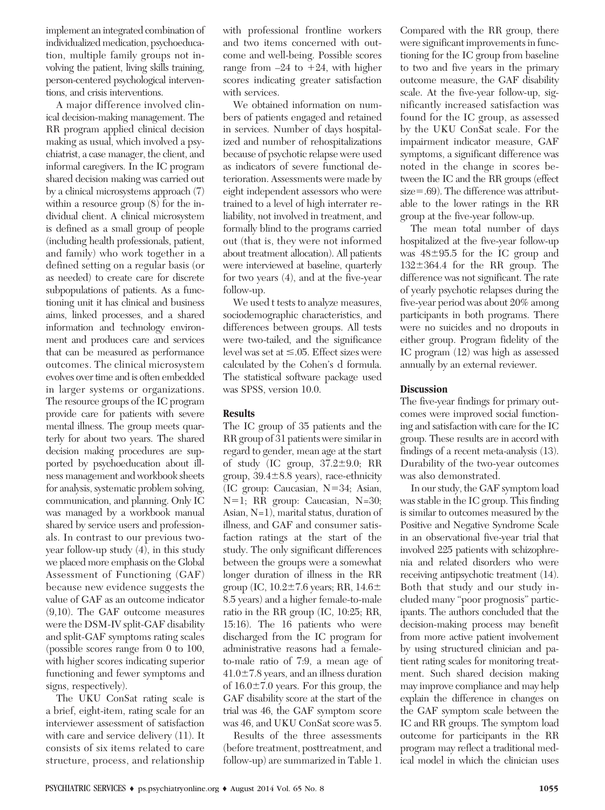implement an integrated combination of individualized medication, psychoeducation, multiple family groups not involving the patient, living skills training, person-centered psychological interventions, and crisis interventions.

A major difference involved clinical decision-making management. The RR program applied clinical decision making as usual, which involved a psychiatrist, a case manager, the client, and informal caregivers. In the IC program shared decision making was carried out by a clinical microsystems approach (7) within a resource group (8) for the individual client. A clinical microsystem is defined as a small group of people (including health professionals, patient, and family) who work together in a defined setting on a regular basis (or as needed) to create care for discrete subpopulations of patients. As a functioning unit it has clinical and business aims, linked processes, and a shared information and technology environment and produces care and services that can be measured as performance outcomes. The clinical microsystem evolves over time and is often embedded in larger systems or organizations. The resource groups of the IC program provide care for patients with severe mental illness. The group meets quarterly for about two years. The shared decision making procedures are supported by psychoeducation about illness management and workbook sheets for analysis, systematic problem solving, communication, and planning. Only IC was managed by a workbook manual shared by service users and professionals. In contrast to our previous twoyear follow-up study (4), in this study we placed more emphasis on the Global Assessment of Functioning (GAF) because new evidence suggests the value of GAF as an outcome indicator (9,10). The GAF outcome measures were the DSM-IV split-GAF disability and split-GAF symptoms rating scales (possible scores range from 0 to 100, with higher scores indicating superior functioning and fewer symptoms and signs, respectively).

The UKU ConSat rating scale is a brief, eight-item, rating scale for an interviewer assessment of satisfaction with care and service delivery (11). It consists of six items related to care structure, process, and relationship with professional frontline workers and two items concerned with outcome and well-being. Possible scores range from  $-24$  to  $+24$ , with higher scores indicating greater satisfaction with services.

We obtained information on numbers of patients engaged and retained in services. Number of days hospitalized and number of rehospitalizations because of psychotic relapse were used as indicators of severe functional deterioration. Assessments were made by eight independent assessors who were trained to a level of high interrater reliability, not involved in treatment, and formally blind to the programs carried out (that is, they were not informed about treatment allocation). All patients were interviewed at baseline, quarterly for two years (4), and at the five-year follow-up.

We used t tests to analyze measures, sociodemographic characteristics, and differences between groups. All tests were two-tailed, and the significance level was set at  $\leq$ .05. Effect sizes were calculated by the Cohen's d formula. The statistical software package used was SPSS, version 10.0.

## **Results**

The IC group of 35 patients and the RR group of 31 patients were similar in regard to gender, mean age at the start of study (IC group,  $37.2 \pm 9.0$ ; RR group,  $39.4 \pm 8.8$  years), race-ethnicity (IC group: Caucasian,  $N=34$ ; Asian,  $N=1$ ; RR group: Caucasian, N=30; Asian, N=1), marital status, duration of illness, and GAF and consumer satisfaction ratings at the start of the study. The only significant differences between the groups were a somewhat longer duration of illness in the RR group (IC,  $10.2\pm7.6$  years; RR,  $14.6\pm$ 8.5 years) and a higher female-to-male ratio in the RR group (IC, 10:25; RR, 15:16). The 16 patients who were discharged from the IC program for administrative reasons had a femaleto-male ratio of 7:9, a mean age of  $41.0\pm7.8$  years, and an illness duration of  $16.0\pm7.0$  years. For this group, the GAF disability score at the start of the trial was 46, the GAF symptom score was 46, and UKU ConSat score was 5.

Results of the three assessments (before treatment, posttreatment, and follow-up) are summarized in Table 1. Compared with the RR group, there were significant improvements in functioning for the IC group from baseline to two and five years in the primary outcome measure, the GAF disability scale. At the five-year follow-up, significantly increased satisfaction was found for the IC group, as assessed by the UKU ConSat scale. For the impairment indicator measure, GAF symptoms, a significant difference was noted in the change in scores between the IC and the RR groups (effect  $size=0.69$ ). The difference was attributable to the lower ratings in the RR group at the five-year follow-up.

The mean total number of days hospitalized at the five-year follow-up was  $48\pm95.5$  for the IC group and  $132 \pm 364.4$  for the RR group. The difference was not significant. The rate of yearly psychotic relapses during the five-year period was about 20% among participants in both programs. There were no suicides and no dropouts in either group. Program fidelity of the IC program (12) was high as assessed annually by an external reviewer.

## **Discussion**

The five-year findings for primary outcomes were improved social functioning and satisfaction with care for the IC group. These results are in accord with findings of a recent meta-analysis (13). Durability of the two-year outcomes was also demonstrated.

In our study, the GAF symptom load was stable in the IC group. This finding is similar to outcomes measured by the Positive and Negative Syndrome Scale in an observational five-year trial that involved 225 patients with schizophrenia and related disorders who were receiving antipsychotic treatment (14). Both that study and our study included many "poor prognosis" participants. The authors concluded that the decision-making process may benefit from more active patient involvement by using structured clinician and patient rating scales for monitoring treatment. Such shared decision making may improve compliance and may help explain the difference in changes on the GAF symptom scale between the IC and RR groups. The symptom load outcome for participants in the RR program may reflect a traditional medical model in which the clinician uses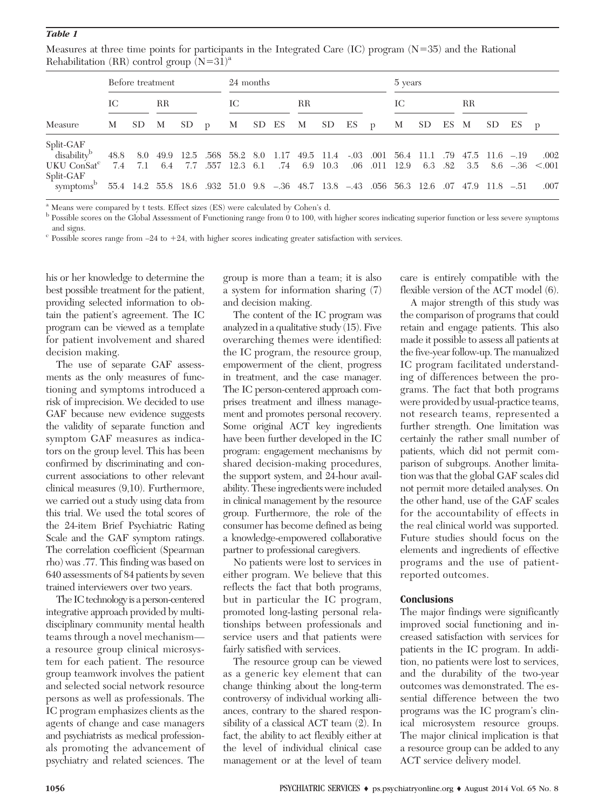#### Table 1

Measures at three time points for participants in the Integrated Care  $(IC)$  program  $(N=35)$  and the Rational Rehabilitation (RR) control group  $(N=31)^a$ 

|                                                                                                                                                                                                       | Before treatment |     |            |                 |              | 24 months |  |                   |           |  |  |  | 5 years   |  |  |           |       |  |                                                                                             |
|-------------------------------------------------------------------------------------------------------------------------------------------------------------------------------------------------------|------------------|-----|------------|-----------------|--------------|-----------|--|-------------------|-----------|--|--|--|-----------|--|--|-----------|-------|--|---------------------------------------------------------------------------------------------|
|                                                                                                                                                                                                       | IC               |     | <b>RR</b>  |                 |              | IC        |  |                   | <b>RR</b> |  |  |  | IС        |  |  | <b>RR</b> |       |  |                                                                                             |
| Measure                                                                                                                                                                                               | M                | SD. | $_{\rm M}$ | SD <sub>3</sub> | $\mathbf{p}$ |           |  | M SD ES M SD ES p |           |  |  |  | M SD ES M |  |  |           | SD ES |  | $\mathbf{D}$                                                                                |
| $\begin{array}{c} {\rm Split}\text{-}{\rm GAF}\\ {\rm disability}^{\rm b} \end{array}$<br>UKU ConSat <sup>c</sup> 7.4 7.1 6.4 7.7 .557 12.3 6.1 .74 6.9 10.3 .06 .011 12.9 6.3 .82 3.5 8.6 -.36 <.001 |                  |     |            |                 |              |           |  |                   |           |  |  |  |           |  |  |           |       |  | 48.8 8.0 49.9 12.5 .568 58.2 8.0 1.17 49.5 11.4 -.03 .001 56.4 11.1 .79 47.5 11.6 -.19 .002 |
| Split-GAF<br>symptoms <sup>b</sup> 55.4 14.2 55.8 18.6 .932 51.0 9.8 -.36 48.7 13.8 -.43 .056 56.3 12.6 .07 47.9 11.8 -.51                                                                            |                  |     |            |                 |              |           |  |                   |           |  |  |  |           |  |  |           |       |  | .007                                                                                        |

 $\textsuperscript{a}$  Means were compared by t tests. Effect sizes (ES) were calculated by Cohen's d.<br>b Possible scores on the Global Assessment of Functioning range from 0 to 100, with higher scores indicating superior function or and signs.

 $c$  Possible scores range from  $-24$  to  $+24$ , with higher scores indicating greater satisfaction with services.

his or her knowledge to determine the best possible treatment for the patient, providing selected information to obtain the patient's agreement. The IC program can be viewed as a template for patient involvement and shared decision making.

The use of separate GAF assessments as the only measures of functioning and symptoms introduced a risk of imprecision. We decided to use GAF because new evidence suggests the validity of separate function and symptom GAF measures as indicators on the group level. This has been confirmed by discriminating and concurrent associations to other relevant clinical measures (9,10). Furthermore, we carried out a study using data from this trial. We used the total scores of the 24-item Brief Psychiatric Rating Scale and the GAF symptom ratings. The correlation coefficient (Spearman rho) was .77. This finding was based on 640 assessments of 84 patients by seven trained interviewers over two years.

The IC technology is a person-centered integrative approach provided by multidisciplinary community mental health teams through a novel mechanism a resource group clinical microsystem for each patient. The resource group teamwork involves the patient and selected social network resource persons as well as professionals. The IC program emphasizes clients as the agents of change and case managers and psychiatrists as medical professionals promoting the advancement of psychiatry and related sciences. The

group is more than a team; it is also a system for information sharing (7) and decision making.

The content of the IC program was analyzed in a qualitative study (15). Five overarching themes were identified: the IC program, the resource group, empowerment of the client, progress in treatment, and the case manager. The IC person-centered approach comprises treatment and illness management and promotes personal recovery. Some original ACT key ingredients have been further developed in the IC program: engagement mechanisms by shared decision-making procedures, the support system, and 24-hour availability. These ingredients were included in clinical management by the resource group. Furthermore, the role of the consumer has become defined as being a knowledge-empowered collaborative partner to professional caregivers.

No patients were lost to services in either program. We believe that this reflects the fact that both programs, but in particular the IC program, promoted long-lasting personal relationships between professionals and service users and that patients were fairly satisfied with services.

The resource group can be viewed as a generic key element that can change thinking about the long-term controversy of individual working alliances, contrary to the shared responsibility of a classical ACT team (2). In fact, the ability to act flexibly either at the level of individual clinical case management or at the level of team care is entirely compatible with the flexible version of the ACT model (6).

A major strength of this study was the comparison of programs that could retain and engage patients. This also made it possible to assess all patients at the five-year follow-up. The manualized IC program facilitated understanding of differences between the programs. The fact that both programs were provided by usual-practice teams, not research teams, represented a further strength. One limitation was certainly the rather small number of patients, which did not permit comparison of subgroups. Another limitation was that the global GAF scales did not permit more detailed analyses. On the other hand, use of the GAF scales for the accountability of effects in the real clinical world was supported. Future studies should focus on the elements and ingredients of effective programs and the use of patientreported outcomes.

#### **Conclusions**

The major findings were significantly improved social functioning and increased satisfaction with services for patients in the IC program. In addition, no patients were lost to services, and the durability of the two-year outcomes was demonstrated. The essential difference between the two programs was the IC program's clinical microsystem resource groups. The major clinical implication is that a resource group can be added to any ACT service delivery model.